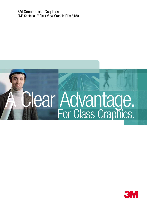### 3M Commercial Graphics

3M<sup>™</sup> Scotchcal<sup>™</sup> Clear View Graphic Film 8150

# A Clear Advantage. For Glass Graphics.

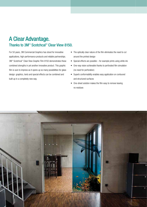# A Clear Advantage. Thanks to 3M<sup>™</sup> Scotchcal<sup>™</sup> Clear View 8150.

For 50 years, 3M Commercial Graphics has stood for innovative applications, high-performance products and reliable partnerships. 3M™ Scotchcal™ Clear View Graphic Film 8150 demonstrates these combined strengths in yet another innovative product. This graphic film is sure to impress as it opens up so many possibilities for glass design: graphics, texts and special effects can be combined and built up in a completely new way.

- The optically clear nature of the film eliminates the need to cut around the printed design
- Special effects are possible for example prints using white ink
- One-way vision achievable thanks to perforated film simulation (no need for perforation)
- Superb conformability enables easy application on contoured and structured surfaces
- One-sheet solution makes the film easy to remove leaving no residues

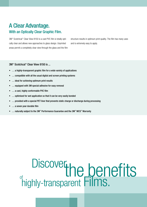# A Clear Advantage. With an Optically Clear Graphic Film.

3M<sup>™</sup> Scotchcal<sup>™</sup> Clear View 8150 is a cast PVC film is totally optically clear and allows new approaches to glass design. Unprinted areas permit a completely clear view through the glass and the film structure results in optimum print quality. The film has many uses and is extremely easy to apply.

#### 3M™ Scotchcal™ Clear View 8150 is ...

- ... a highly-transparent graphic film for a wide variety of applications
- ... compatible with all the usual digital and screen printing systems
- … ideal for achieving optimum print results
- ... equipped with 3M special adhesive for easy removal
- … a cast, highly conformable PVC film
- ... optimised for wet application so that it can be very easily bonded
- ... provided with a special PET liner that prevents static charge or discharge during processing
- ... a seven year durable film
- ... naturally subject to the 3M<sup>™</sup> Performance Guarantee and the 3M™ MCS™ Warranty

# **Discover DISCOVEL he benefits**<br>highly-transparent Films. of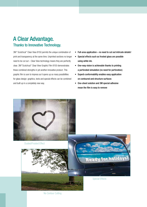# A Clear Advantage. Thanks to Innovative Technology.

3M™ Scotchcal™ Clear View 8150 permits the unique combination of print and transparency at the same time. Unprinted sections no longer need to be cut out – Clear View technology means they are perfectly clear. 3M<sup>™</sup>Scotchcal™ Clear View Graphic Film 8150 demonstrates these combined strengths in yet another innovative product. This graphic film is sure to impress as it opens up so many possibilities for glass design: graphics, texts and special effects can be combined and built up in a completely new way.

- Full-area application no need to cut out intricate details!
- Special effects such as frosted glass are possible using white ink.
- One-way vision is achievable thanks to printing a perforated simulation (no need for perforation)
- Superb conformability enables easy application on contoured and structure surfaces
- One-sheet solution and 3M special adhesive mean the film is easy to remove



No Contour Cutting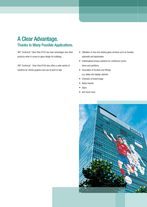# A Clear Advantage. Thanks to Many Possible Applications.

3M™ Scotchcal™ Clear View 8150 has clear advantages over other products when it comes to glass design for buildings ...

3M™ Scotchcal™ Clear View 8150 also offers a wide variety of solutions for vehicle graphics and use at point of sale.

- Utilisation of new and existing glass surfaces such as facades, stairwells and balustrades
- Individualised privacy solutions for conference rooms, doors and partitions
- Decoration of furniture and fittings,
	- e.g. tables and display cabinets
- Extension of brand image
- Notice boards
- Signs
- and much more